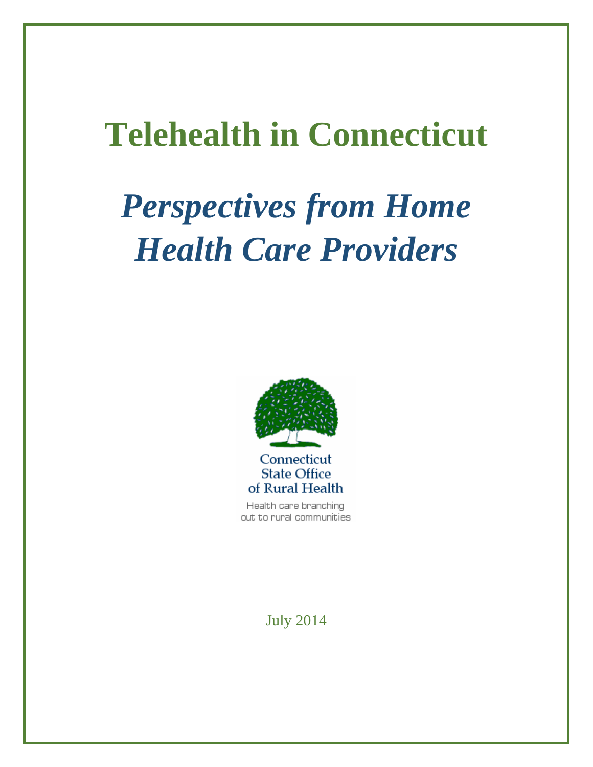# **Telehealth in Connecticut**

# *Perspectives from Home Health Care Providers*



Health care branching out to rural communities

July 2014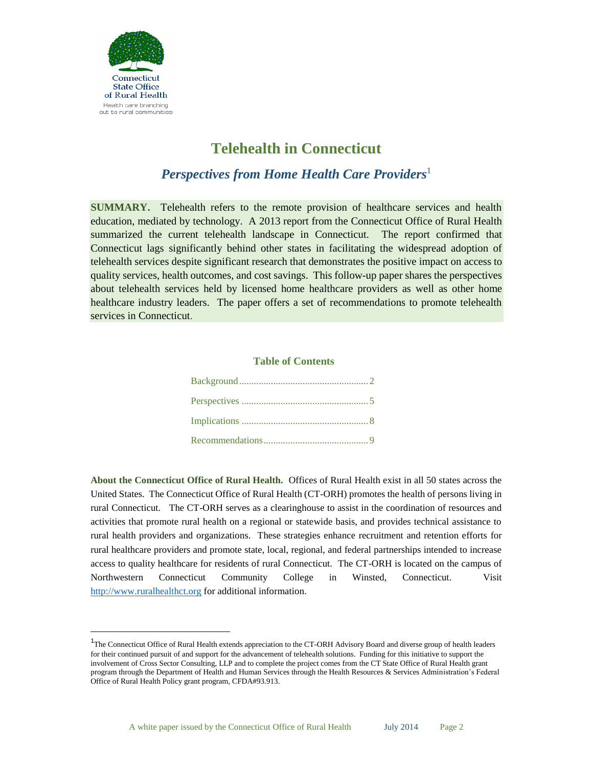

 $\overline{a}$ 

# **Telehealth in Connecticut**

*Perspectives from Home Health Care Providers*<sup>1</sup>

**SUMMARY.** Telehealth refers to the remote provision of healthcare services and health education, mediated by technology. A 2013 report from the Connecticut Office of Rural Health summarized the current telehealth landscape in Connecticut. The report confirmed that Connecticut lags significantly behind other states in facilitating the widespread adoption of telehealth services despite significant research that demonstrates the positive impact on access to quality services, health outcomes, and cost savings. This follow-up paper shares the perspectives about telehealth services held by licensed home healthcare providers as well as other home healthcare industry leaders. The paper offers a set of recommendations to promote telehealth services in Connecticut.

#### **Table of Contents**

**About the Connecticut Office of Rural Health.** Offices of Rural Health exist in all 50 states across the United States. The Connecticut Office of Rural Health (CT-ORH) promotes the health of persons living in rural Connecticut. The CT-ORH serves as a clearinghouse to assist in the coordination of resources and activities that promote rural health on a regional or statewide basis, and provides technical assistance to rural health providers and organizations. These strategies enhance recruitment and retention efforts for rural healthcare providers and promote state, local, regional, and federal partnerships intended to increase access to quality healthcare for residents of rural Connecticut. The CT-ORH is located on the campus of Northwestern Connecticut Community College in Winsted, Connecticut. Visit [http://www.ruralhealthct.org](http://www.ruralhealthct.org/) for additional information.

<sup>&</sup>lt;sup>1</sup>The Connecticut Office of Rural Health extends appreciation to the CT-ORH Advisory Board and diverse group of health leaders for their continued pursuit of and support for the advancement of telehealth solutions. Funding for this initiative to support the involvement of Cross Sector Consulting, LLP and to complete the project comes from the CT State Office of Rural Health grant program through the Department of Health and Human Services through the Health Resources & Services Administration's Federal Office of Rural Health Policy grant program, CFDA#93.913.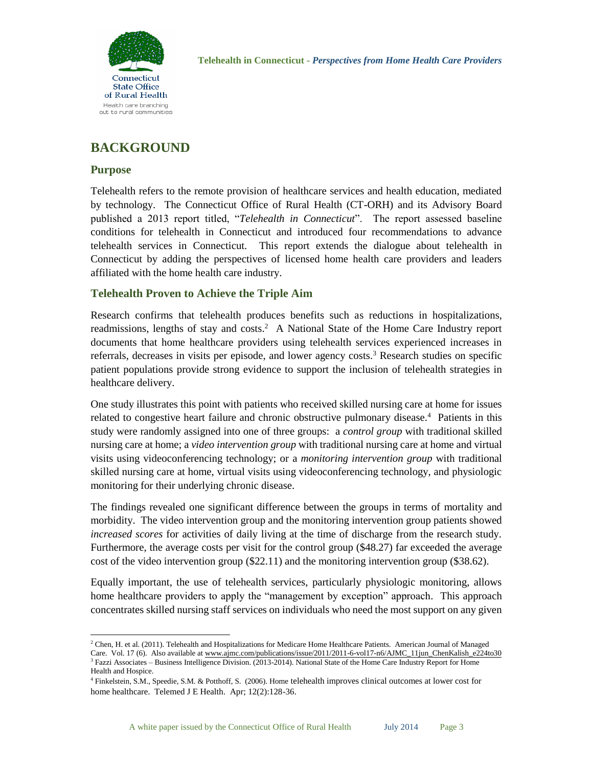

## **BACKGROUND**

#### **Purpose**

 $\overline{a}$ 

Telehealth refers to the remote provision of healthcare services and health education, mediated by technology. The Connecticut Office of Rural Health (CT-ORH) and its Advisory Board published a 2013 report titled, "*Telehealth in Connecticut*". The report assessed baseline conditions for telehealth in Connecticut and introduced four recommendations to advance telehealth services in Connecticut. This report extends the dialogue about telehealth in Connecticut by adding the perspectives of licensed home health care providers and leaders affiliated with the home health care industry.

### **Telehealth Proven to Achieve the Triple Aim**

Research confirms that telehealth produces benefits such as reductions in hospitalizations, readmissions, lengths of stay and costs.<sup>2</sup> A National State of the Home Care Industry report documents that home healthcare providers using telehealth services experienced increases in referrals, decreases in visits per episode, and lower agency costs.<sup>3</sup> Research studies on specific patient populations provide strong evidence to support the inclusion of telehealth strategies in healthcare delivery.

One study illustrates this point with patients who received skilled nursing care at home for issues related to congestive heart failure and chronic obstructive pulmonary disease.<sup>4</sup> Patients in this study were randomly assigned into one of three groups: a *control group* with traditional skilled nursing care at home; a *video intervention group* with traditional nursing care at home and virtual visits using videoconferencing technology; or a *monitoring intervention group* with traditional skilled nursing care at home, virtual visits using videoconferencing technology, and physiologic monitoring for their underlying chronic disease.

The findings revealed one significant difference between the groups in terms of mortality and morbidity. The video intervention group and the monitoring intervention group patients showed *increased scores* for activities of daily living at the time of discharge from the research study. Furthermore, the average costs per visit for the control group (\$48.27) far exceeded the average cost of the video intervention group (\$22.11) and the monitoring intervention group (\$38.62).

Equally important, the use of telehealth services, particularly physiologic monitoring, allows home healthcare providers to apply the "management by exception" approach. This approach concentrates skilled nursing staff services on individuals who need the most support on any given

<sup>&</sup>lt;sup>2</sup> Chen, H. et al. (2011). Telehealth and Hospitalizations for Medicare Home Healthcare Patients. American Journal of Managed Care. Vol. 17 (6). Also available at [www.ajmc.com/publications/issue/2011/2011-6-vol17-n6/AJMC\\_11jun\\_ChenKalish\\_e224to30](http://www.ajmc.com/publications/issue/2011/2011-6-vol17-n6/AJMC_11jun_ChenKalish_e224to30)  $3$  Fazzi Associates – Business Intelligence Division. (2013-2014). National State of the Home Care Industry Report for Home Health and Hospice.

<sup>4</sup> Finkelstein, S.M., Speedie, S.M. & Potthoff, S. (2006). Home telehealth improves clinical outcomes at lower cost for home healthcare. Telemed J E Health. Apr; 12(2):128-36.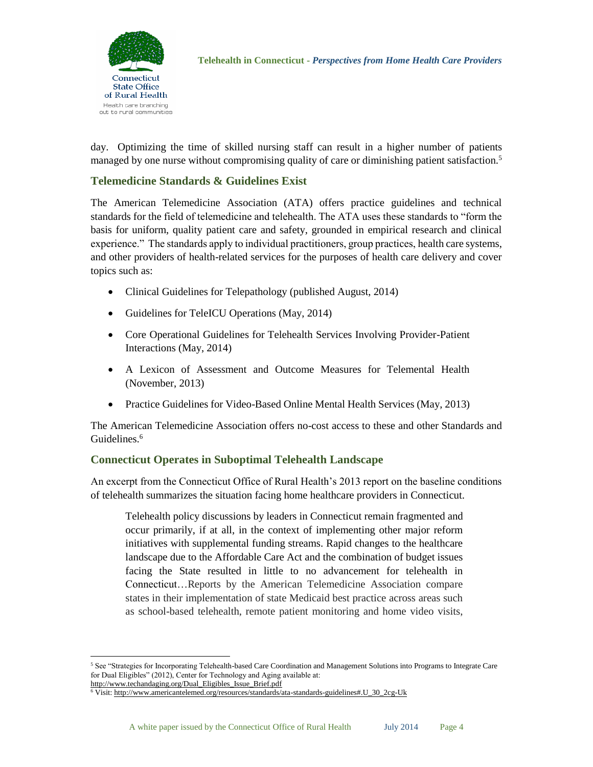

day. Optimizing the time of skilled nursing staff can result in a higher number of patients managed by one nurse without compromising quality of care or diminishing patient satisfaction.<sup>5</sup>

## **Telemedicine Standards & Guidelines Exist**

The American Telemedicine Association (ATA) offers practice guidelines and technical standards for the field of telemedicine and telehealth. The ATA uses these standards to "form the basis for uniform, quality patient care and safety, grounded in empirical research and clinical experience." The standards apply to individual practitioners, group practices, health care systems, and other providers of health-related services for the purposes of health care delivery and cover topics such as:

- Clinical Guidelines for Telepathology (published August, 2014)
- Guidelines for TeleICU Operations (May, 2014)
- Core Operational Guidelines for Telehealth Services Involving Provider-Patient Interactions (May, 2014)
- A Lexicon of Assessment and Outcome Measures for Telemental Health (November, 2013)
- Practice Guidelines for Video-Based Online Mental Health Services (May, 2013)

The American Telemedicine Association offers no-cost access to these and other Standards and Guidelines.<sup>6</sup>

### **Connecticut Operates in Suboptimal Telehealth Landscape**

An excerpt from the Connecticut Office of Rural Health's 2013 report on the baseline conditions of telehealth summarizes the situation facing home healthcare providers in Connecticut.

Telehealth policy discussions by leaders in Connecticut remain fragmented and occur primarily, if at all, in the context of implementing other major reform initiatives with supplemental funding streams. Rapid changes to the healthcare landscape due to the Affordable Care Act and the combination of budget issues facing the State resulted in little to no advancement for telehealth in Connecticut…Reports by the American Telemedicine Association compare states in their implementation of state Medicaid best practice across areas such as school-based telehealth, remote patient monitoring and home video visits,

 $\ddot{\phantom{a}}$ 

<sup>5</sup> See "Strategies for Incorporating Telehealth-based Care Coordination and Management Solutions into Programs to Integrate Care for Dual Eligibles" (2012), Center for Technology and Aging available at:

[http://www.techandaging.org/Dual\\_Eligibles\\_Issue\\_Brief.pdf](http://www.techandaging.org/Dual_Eligibles_Issue_Brief.pdf) 

<sup>6</sup> Visit[: http://www.americantelemed.org/resources/standards/ata-standards-guidelines#.U\\_30\\_2cg-Uk](http://www.americantelemed.org/resources/standards/ata-standards-guidelines#.U_30_2cg-Uk)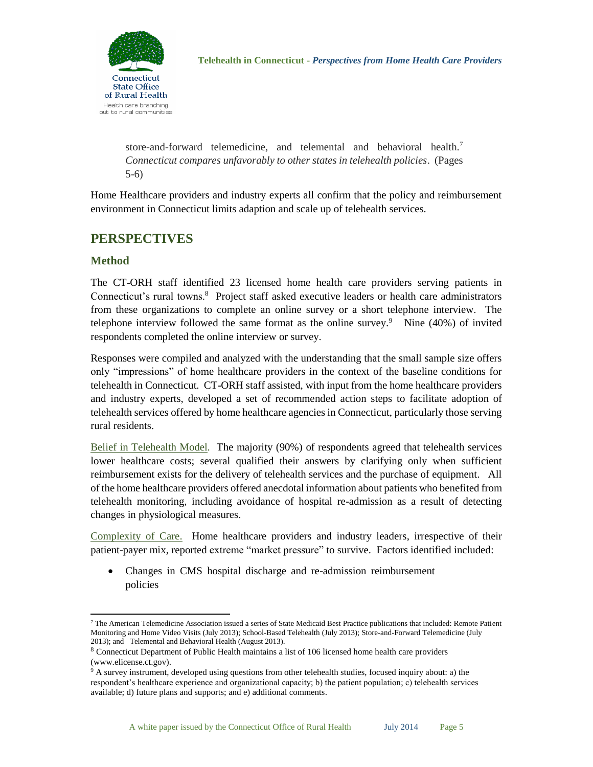store-and-forward telemedicine, and telemental and behavioral health.<sup>7</sup> *Connecticut compares unfavorably to other states in telehealth policies*. (Pages 5-6)

Home Healthcare providers and industry experts all confirm that the policy and reimbursement environment in Connecticut limits adaption and scale up of telehealth services.

## **PERSPECTIVES**

### **Method**

The CT-ORH staff identified 23 licensed home health care providers serving patients in Connecticut's rural towns.<sup>8</sup> Project staff asked executive leaders or health care administrators from these organizations to complete an online survey or a short telephone interview. The telephone interview followed the same format as the online survey.<sup>9</sup> Nine  $(40\%)$  of invited respondents completed the online interview or survey.

Responses were compiled and analyzed with the understanding that the small sample size offers only "impressions" of home healthcare providers in the context of the baseline conditions for telehealth in Connecticut. CT-ORH staff assisted, with input from the home healthcare providers and industry experts, developed a set of recommended action steps to facilitate adoption of telehealth services offered by home healthcare agencies in Connecticut, particularly those serving rural residents.

Belief in Telehealth Model*.*The majority (90%) of respondents agreed that telehealth services lower healthcare costs; several qualified their answers by clarifying only when sufficient reimbursement exists for the delivery of telehealth services and the purchase of equipment. All of the home healthcare providers offered anecdotal information about patients who benefited from telehealth monitoring, including avoidance of hospital re-admission as a result of detecting changes in physiological measures.

Complexity of Care.Home healthcare providers and industry leaders, irrespective of their patient-payer mix, reported extreme "market pressure" to survive. Factors identified included:

 Changes in CMS hospital discharge and re-admission reimbursement policies

 $\overline{a}$ <sup>7</sup> The American Telemedicine Association issued a series of State Medicaid Best Practice publications that included: Remote Patient Monitoring and Home Video Visits (July 2013); School-Based Telehealth (July 2013); Store-and-Forward Telemedicine (July 2013); and Telemental and Behavioral Health (August 2013).

<sup>8</sup> Connecticut Department of Public Health maintains a list of 106 licensed home health care providers (www.elicense.ct.gov).

<sup>&</sup>lt;sup>9</sup> A survey instrument, developed using questions from other telehealth studies, focused inquiry about: a) the respondent's healthcare experience and organizational capacity; b) the patient population; c) telehealth services available; d) future plans and supports; and e) additional comments.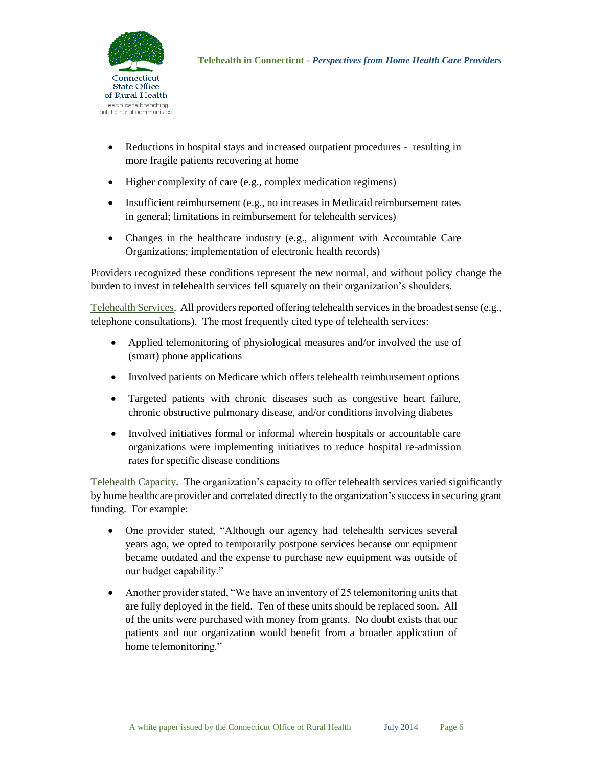

- Reductions in hospital stays and increased outpatient procedures resulting in more fragile patients recovering at home
- Higher complexity of care (e.g., complex medication regimens)
- Insufficient reimbursement (e.g., no increases in Medicaid reimbursement rates in general; limitations in reimbursement for telehealth services)
- Changes in the healthcare industry (e.g., alignment with Accountable Care Organizations; implementation of electronic health records)

Providers recognized these conditions represent the new normal, and without policy change the burden to invest in telehealth services fell squarely on their organization's shoulders.

Telehealth Services. All providers reported offering telehealth services in the broadest sense (e.g., telephone consultations). The most frequently cited type of telehealth services:

- Applied telemonitoring of physiological measures and/or involved the use of (smart) phone applications
- Involved patients on Medicare which offers telehealth reimbursement options
- Targeted patients with chronic diseases such as congestive heart failure, chronic obstructive pulmonary disease, and/or conditions involving diabetes
- Involved initiatives formal or informal wherein hospitals or accountable care organizations were implementing initiatives to reduce hospital re-admission rates for specific disease conditions

Telehealth Capacity**.** The organization's capacity to offer telehealth services varied significantly by home healthcare provider and correlated directly to the organization's success in securing grant funding. For example:

- One provider stated, "Although our agency had telehealth services several years ago, we opted to temporarily postpone services because our equipment became outdated and the expense to purchase new equipment was outside of our budget capability."
- Another provider stated, "We have an inventory of 25 telemonitoring units that are fully deployed in the field. Ten of these units should be replaced soon. All of the units were purchased with money from grants. No doubt exists that our patients and our organization would benefit from a broader application of home telemonitoring."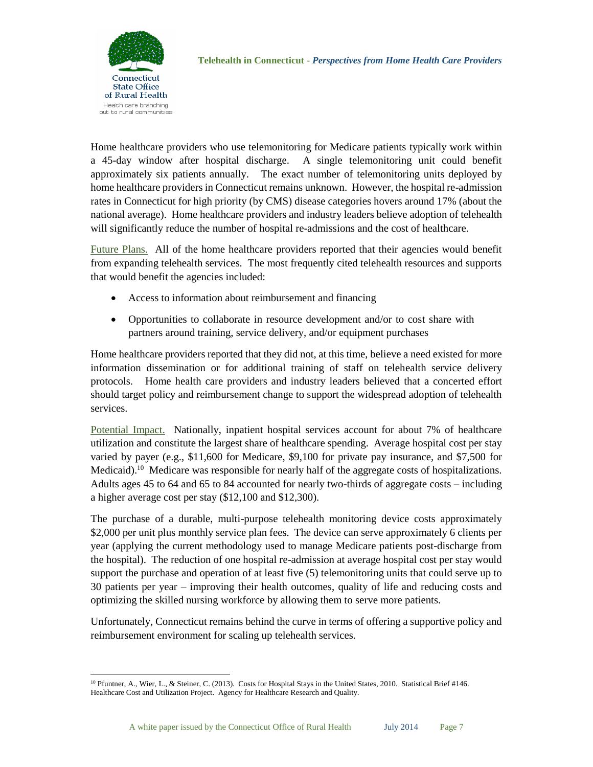

**Telehealth in Connecticut -** *Perspectives from Home Health Care Providers*

Home healthcare providers who use telemonitoring for Medicare patients typically work within a 45-day window after hospital discharge. A single telemonitoring unit could benefit approximately six patients annually. The exact number of telemonitoring units deployed by home healthcare providers in Connecticut remains unknown. However, the hospital re-admission rates in Connecticut for high priority (by CMS) disease categories hovers around 17% (about the national average). Home healthcare providers and industry leaders believe adoption of telehealth will significantly reduce the number of hospital re-admissions and the cost of healthcare.

Future Plans.All of the home healthcare providers reported that their agencies would benefit from expanding telehealth services. The most frequently cited telehealth resources and supports that would benefit the agencies included:

- Access to information about reimbursement and financing
- Opportunities to collaborate in resource development and/or to cost share with partners around training, service delivery, and/or equipment purchases

Home healthcare providers reported that they did not, at this time, believe a need existed for more information dissemination or for additional training of staff on telehealth service delivery protocols. Home health care providers and industry leaders believed that a concerted effort should target policy and reimbursement change to support the widespread adoption of telehealth services.

Potential Impact.Nationally, inpatient hospital services account for about 7% of healthcare utilization and constitute the largest share of healthcare spending. Average hospital cost per stay varied by payer (e.g., \$11,600 for Medicare, \$9,100 for private pay insurance, and \$7,500 for Medicaid).<sup>10</sup> Medicare was responsible for nearly half of the aggregate costs of hospitalizations. Adults ages 45 to 64 and 65 to 84 accounted for nearly two-thirds of aggregate costs – including a higher average cost per stay (\$12,100 and \$12,300).

The purchase of a durable, multi-purpose telehealth monitoring device costs approximately \$2,000 per unit plus monthly service plan fees. The device can serve approximately 6 clients per year (applying the current methodology used to manage Medicare patients post-discharge from the hospital). The reduction of one hospital re-admission at average hospital cost per stay would support the purchase and operation of at least five (5) telemonitoring units that could serve up to 30 patients per year – improving their health outcomes, quality of life and reducing costs and optimizing the skilled nursing workforce by allowing them to serve more patients.

Unfortunately, Connecticut remains behind the curve in terms of offering a supportive policy and reimbursement environment for scaling up telehealth services.

 $\overline{a}$ <sup>10</sup> Pfuntner, A., Wier, L., & Steiner, C. (2013). Costs for Hospital Stays in the United States, 2010. Statistical Brief #146. Healthcare Cost and Utilization Project. Agency for Healthcare Research and Quality.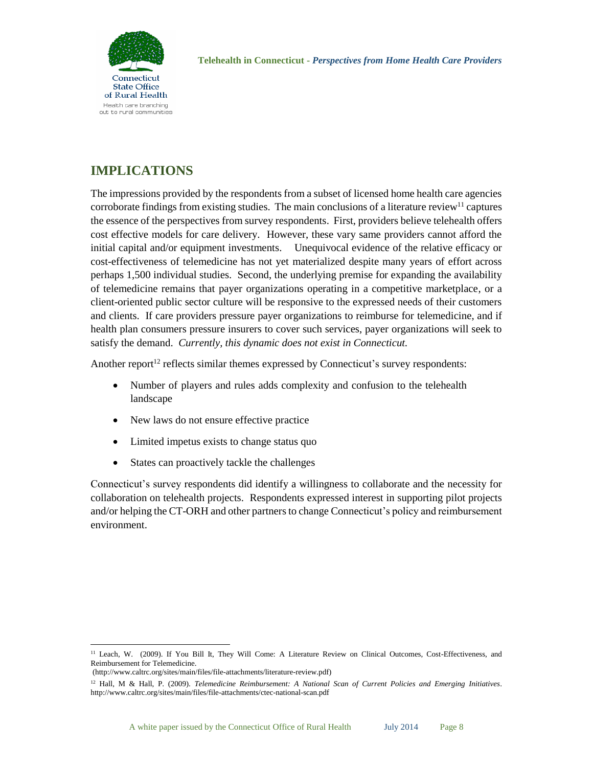

## **IMPLICATIONS**

The impressions provided by the respondents from a subset of licensed home health care agencies corroborate findings from existing studies. The main conclusions of a literature review<sup>11</sup> captures the essence of the perspectives from survey respondents. First, providers believe telehealth offers cost effective models for care delivery. However, these vary same providers cannot afford the initial capital and/or equipment investments.Unequivocal evidence of the relative efficacy or cost-effectiveness of telemedicine has not yet materialized despite many years of effort across perhaps 1,500 individual studies. Second, the underlying premise for expanding the availability of telemedicine remains that payer organizations operating in a competitive marketplace, or a client-oriented public sector culture will be responsive to the expressed needs of their customers and clients. If care providers pressure payer organizations to reimburse for telemedicine, and if health plan consumers pressure insurers to cover such services, payer organizations will seek to satisfy the demand. *Currently, this dynamic does not exist in Connecticut.*

Another report<sup>12</sup> reflects similar themes expressed by Connecticut's survey respondents:

- Number of players and rules adds complexity and confusion to the telehealth landscape
- New laws do not ensure effective practice
- Limited impetus exists to change status quo
- States can proactively tackle the challenges

Connecticut's survey respondents did identify a willingness to collaborate and the necessity for collaboration on telehealth projects. Respondents expressed interest in supporting pilot projects and/or helping the CT-ORH and other partners to change Connecticut's policy and reimbursement environment.

 $\overline{a}$ <sup>11</sup> Leach, W. (2009). If You Bill It, They Will Come: A Literature Review on Clinical Outcomes, Cost-Effectiveness, and Reimbursement for Telemedicine.

<sup>(</sup>http://www.caltrc.org/sites/main/files/file-attachments/literature-review.pdf)

<sup>12</sup> Hall, M & Hall, P. (2009). *Telemedicine Reimbursement: A National Scan of Current Policies and Emerging Initiatives*. http://www.caltrc.org/sites/main/files/file-attachments/ctec-national-scan.pdf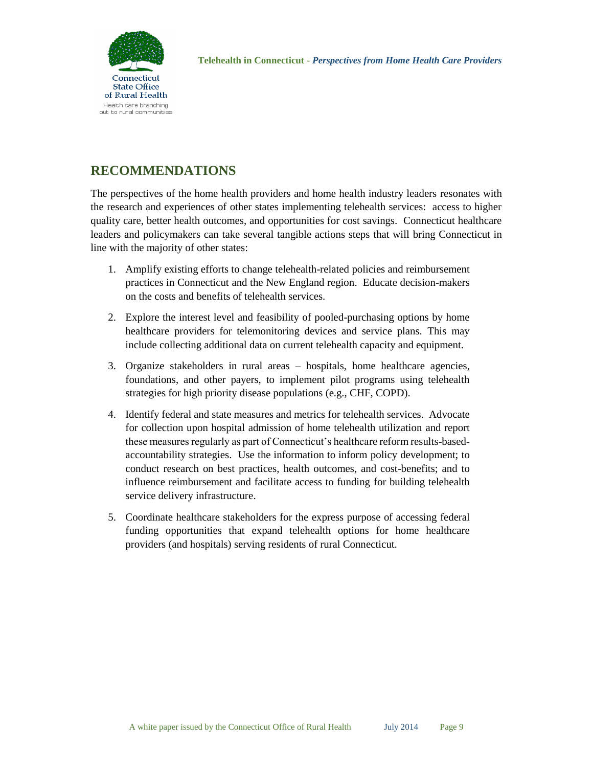

## **RECOMMENDATIONS**

The perspectives of the home health providers and home health industry leaders resonates with the research and experiences of other states implementing telehealth services: access to higher quality care, better health outcomes, and opportunities for cost savings. Connecticut healthcare leaders and policymakers can take several tangible actions steps that will bring Connecticut in line with the majority of other states:

- 1. Amplify existing efforts to change telehealth-related policies and reimbursement practices in Connecticut and the New England region. Educate decision-makers on the costs and benefits of telehealth services.
- 2. Explore the interest level and feasibility of pooled-purchasing options by home healthcare providers for telemonitoring devices and service plans. This may include collecting additional data on current telehealth capacity and equipment.
- 3. Organize stakeholders in rural areas hospitals, home healthcare agencies, foundations, and other payers, to implement pilot programs using telehealth strategies for high priority disease populations (e.g., CHF, COPD).
- 4. Identify federal and state measures and metrics for telehealth services. Advocate for collection upon hospital admission of home telehealth utilization and report these measures regularly as part of Connecticut's healthcare reform results-basedaccountability strategies. Use the information to inform policy development; to conduct research on best practices, health outcomes, and cost-benefits; and to influence reimbursement and facilitate access to funding for building telehealth service delivery infrastructure.
- 5. Coordinate healthcare stakeholders for the express purpose of accessing federal funding opportunities that expand telehealth options for home healthcare providers (and hospitals) serving residents of rural Connecticut.